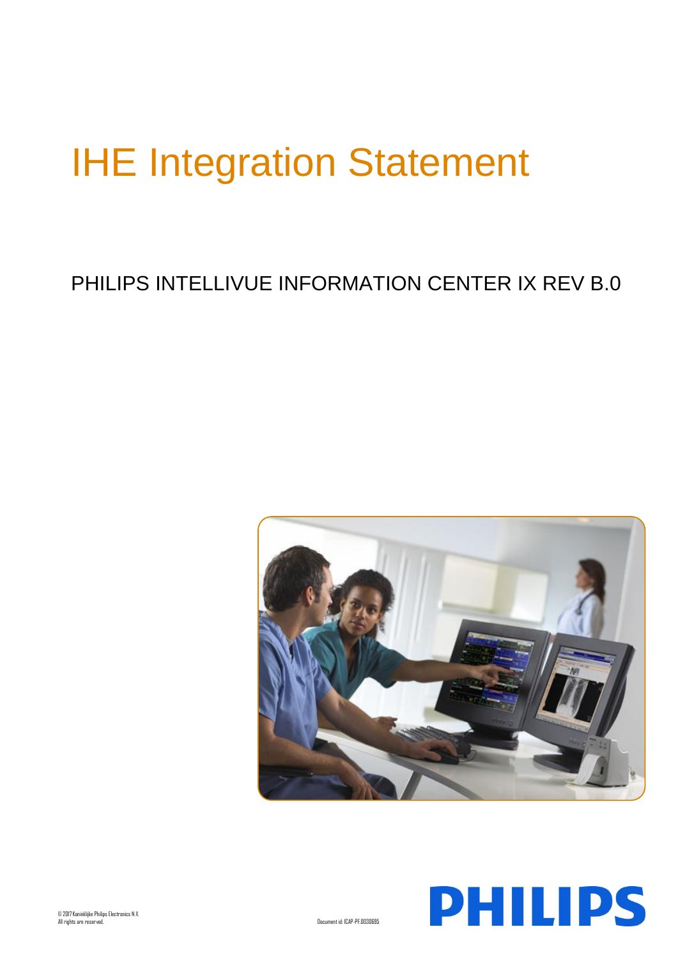# IHE Integration Statement

## PHILIPS INTELLIVUE INFORMATION CENTER IX REV B.0



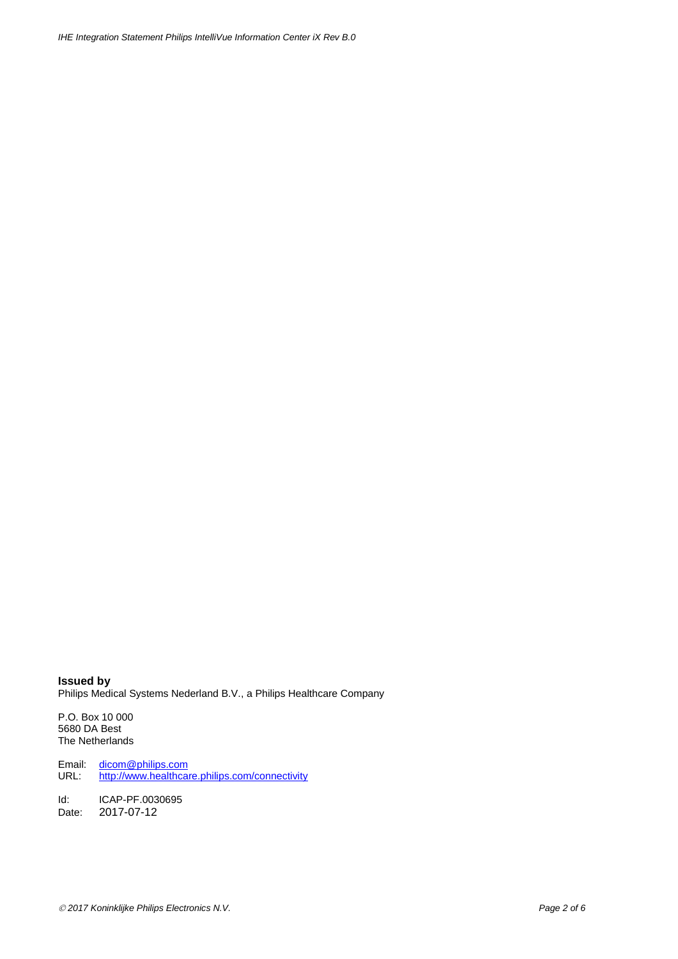**Issued by** Philips Medical Systems Nederland B.V., a Philips Healthcare Company

P.O. Box 10 000 5680 DA Best The Netherlands

Email: [dicom@philips.com](mailto:dicom@philips.com) URL: <http://www.healthcare.philips.com/connectivity>

Id: ICAP-PF.0030695 Date: 2017-07-12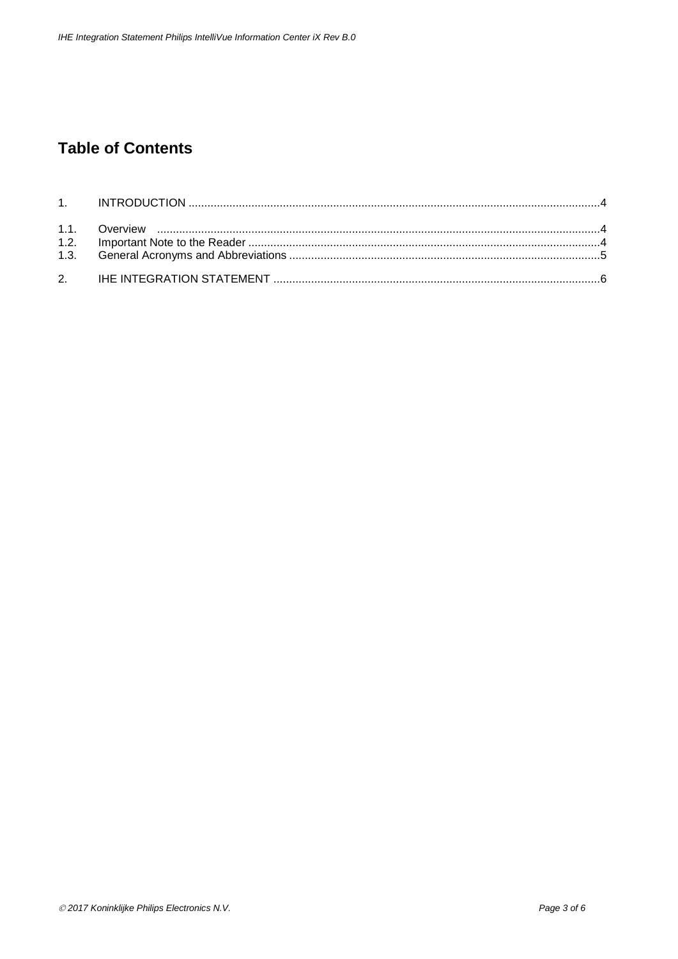## **Table of Contents**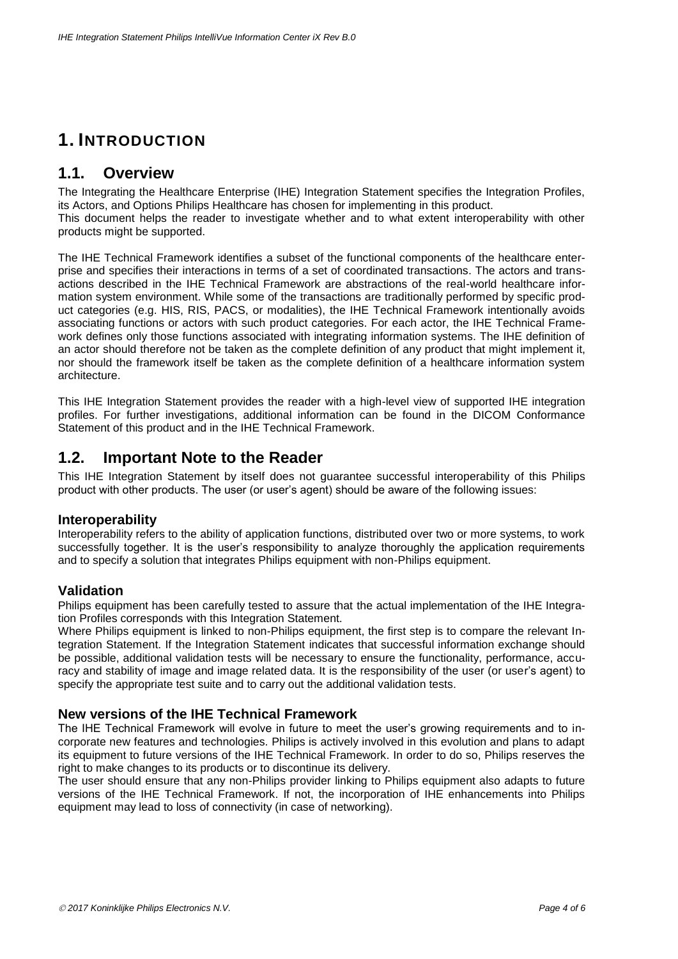## **1. INTRODUCTION**

#### **1.1. Overview**

The Integrating the Healthcare Enterprise (IHE) Integration Statement specifies the Integration Profiles, its Actors, and Options Philips Healthcare has chosen for implementing in this product. This document helps the reader to investigate whether and to what extent interoperability with other products might be supported.

The IHE Technical Framework identifies a subset of the functional components of the healthcare enterprise and specifies their interactions in terms of a set of coordinated transactions. The actors and transactions described in the IHE Technical Framework are abstractions of the real-world healthcare information system environment. While some of the transactions are traditionally performed by specific product categories (e.g. HIS, RIS, PACS, or modalities), the IHE Technical Framework intentionally avoids associating functions or actors with such product categories. For each actor, the IHE Technical Framework defines only those functions associated with integrating information systems. The IHE definition of an actor should therefore not be taken as the complete definition of any product that might implement it, nor should the framework itself be taken as the complete definition of a healthcare information system architecture.

This IHE Integration Statement provides the reader with a high-level view of supported IHE integration profiles. For further investigations, additional information can be found in the DICOM Conformance Statement of this product and in the IHE Technical Framework.

#### **1.2. Important Note to the Reader**

This IHE Integration Statement by itself does not guarantee successful interoperability of this Philips product with other products. The user (or user's agent) should be aware of the following issues:

#### **Interoperability**

Interoperability refers to the ability of application functions, distributed over two or more systems, to work successfully together. It is the user's responsibility to analyze thoroughly the application requirements and to specify a solution that integrates Philips equipment with non-Philips equipment.

#### **Validation**

Philips equipment has been carefully tested to assure that the actual implementation of the IHE Integration Profiles corresponds with this Integration Statement.

Where Philips equipment is linked to non-Philips equipment, the first step is to compare the relevant Integration Statement. If the Integration Statement indicates that successful information exchange should be possible, additional validation tests will be necessary to ensure the functionality, performance, accuracy and stability of image and image related data. It is the responsibility of the user (or user's agent) to specify the appropriate test suite and to carry out the additional validation tests.

#### **New versions of the IHE Technical Framework**

The IHE Technical Framework will evolve in future to meet the user's growing requirements and to incorporate new features and technologies. Philips is actively involved in this evolution and plans to adapt its equipment to future versions of the IHE Technical Framework. In order to do so, Philips reserves the right to make changes to its products or to discontinue its delivery.

The user should ensure that any non-Philips provider linking to Philips equipment also adapts to future versions of the IHE Technical Framework. If not, the incorporation of IHE enhancements into Philips equipment may lead to loss of connectivity (in case of networking).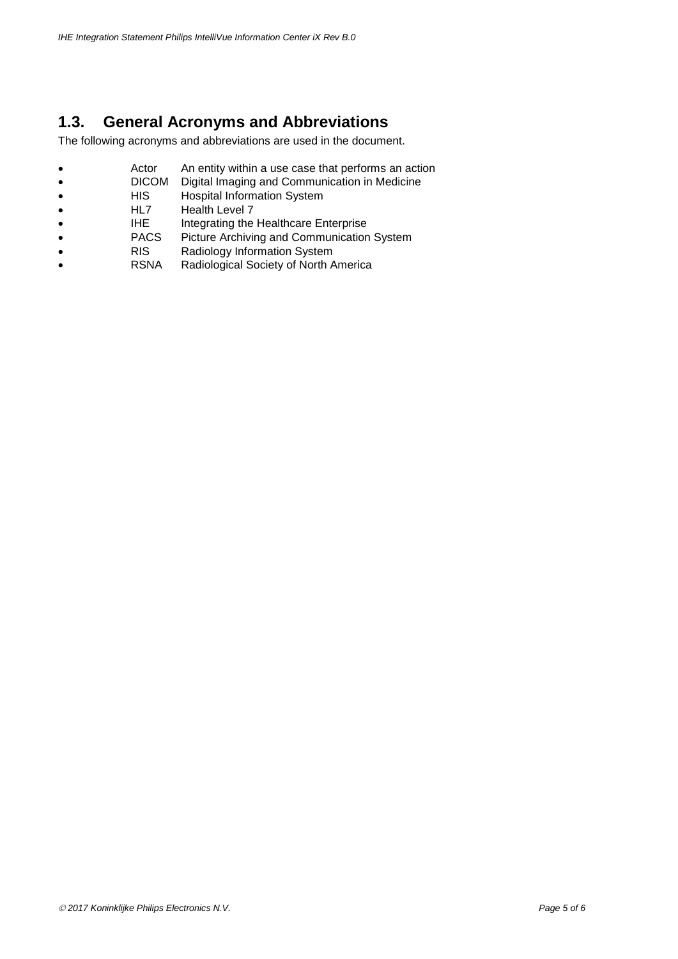### **1.3. General Acronyms and Abbreviations**

The following acronyms and abbreviations are used in the document.

- **Actor** An entity within a use case that performs an action<br>• **DICOM** Digital Imaging and Communication in Medicine
- **DICOM** Digital Imaging and Communication in Medicine<br>• HIS Hospital Information System
- HIS Hospital Information System<br>• HL7 Health Level 7
- HL7 Health Level 7<br>• HHE Integrating the
- IHE Integrating the Healthcare Enterprise
- PACS Picture Archiving and Communication System<br>• RIS Radiology Information System
- RIS Radiology Information System
- RSNA Radiological Society of North America